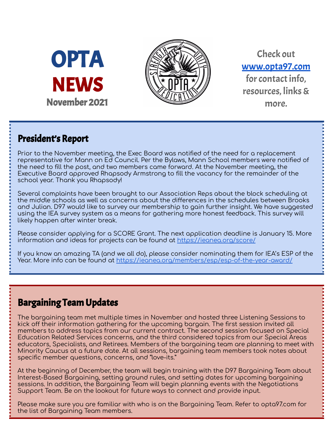



Check out [www.opta97.com](http://www.opta97.com) for contact info. resources, links& more.

## President's Report

Prior to the November meeting, the Exec Board was notified of the need for a replacement representative for Mann on Ed Council. Per the Bylaws, Mann School members were notified of the need to fill the post, and two members came forward. At the November meeting, the Executive Board approved Rhapsody Armstrong to fill the vacancy for the remainder of the school year. Thank you Rhapsody!

Several complaints have been brought to our Association Reps about the block scheduling at the middle schools as well as concerns about the differences in the schedules between Brooks and Julian. D97 would like to survey our membership to gain further insight. We have suggested using the IEA survey system as a means for gathering more honest feedback. This survey will likely happen after winter break.

Please consider applying for a SCORE Grant. The next application deadline is January 15. More information and ideas for projects can be found at <https://ieanea.org/score/>

If you know an amazing TA (and we all do), please consider nominating them for IEA's ESP of the Year. More info can be found at <https://ieanea.org/members/esp/esp-of-the-year-award/>

## Bargaining Team Updates

The bargaining team met multiple times in November and hosted three Listening Sessions to kick off their information gathering for the upcoming bargain. The first session invited all members to address topics from our current contract. The second session focused on Special Education Related Services concerns, and the third considered topics from our Special Areas educators, Specialists, and Retirees. Members of the bargaining team are planning to meet with Minority Caucus at a future date. At all sessions, bargaining team members took notes about specific member questions, concerns, and "love-its."

At the beginning of December, the team will begin training with the D97 Bargaining Team about Interest-Based Bargaining, setting ground rules, and setting dates for upcoming bargaining sessions. In addition, the Bargaining Team will begin planning events with the Negotiations Support Team. Be on the lookout for future ways to connect and provide input.

Please make sure you are familiar with who is on the Bargaining Team. Refer to opta97.com for the list of Bargaining Team members.